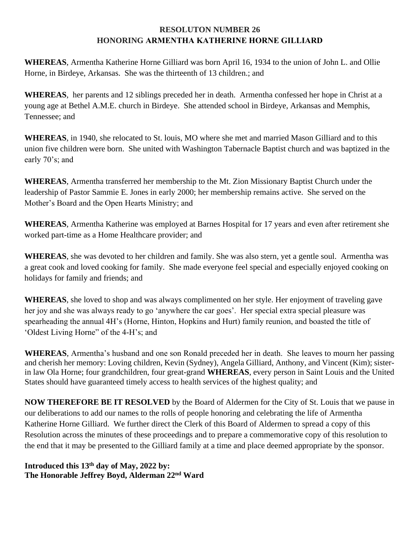## **RESOLUTON NUMBER 26 HONORING ARMENTHA KATHERINE HORNE GILLIARD**

**WHEREAS**, Armentha Katherine Horne Gilliard was born April 16, 1934 to the union of John L. and Ollie Horne, in Birdeye, Arkansas. She was the thirteenth of 13 children.; and

**WHEREAS**, her parents and 12 siblings preceded her in death. Armentha confessed her hope in Christ at a young age at Bethel A.M.E. church in Birdeye. She attended school in Birdeye, Arkansas and Memphis, Tennessee; and

**WHEREAS**, in 1940, she relocated to St. louis, MO where she met and married Mason Gilliard and to this union five children were born. She united with Washington Tabernacle Baptist church and was baptized in the early 70's; and

**WHEREAS**, Armentha transferred her membership to the Mt. Zion Missionary Baptist Church under the leadership of Pastor Sammie E. Jones in early 2000; her membership remains active. She served on the Mother's Board and the Open Hearts Ministry; and

**WHEREAS**, Armentha Katherine was employed at Barnes Hospital for 17 years and even after retirement she worked part-time as a Home Healthcare provider; and

**WHEREAS**, she was devoted to her children and family. She was also stern, yet a gentle soul. Armentha was a great cook and loved cooking for family. She made everyone feel special and especially enjoyed cooking on holidays for family and friends; and

**WHEREAS**, she loved to shop and was always complimented on her style. Her enjoyment of traveling gave her joy and she was always ready to go 'anywhere the car goes'. Her special extra special pleasure was spearheading the annual 4H's (Horne, Hinton, Hopkins and Hurt) family reunion, and boasted the title of 'Oldest Living Horne" of the 4-H's; and

**WHEREAS**, Armentha's husband and one son Ronald preceded her in death. She leaves to mourn her passing and cherish her memory: Loving children, Kevin (Sydney), Angela Gilliard, Anthony, and Vincent (Kim); sisterin law Ola Horne; four grandchildren, four great-grand **WHEREAS**, every person in Saint Louis and the United States should have guaranteed timely access to health services of the highest quality; and

**NOW THEREFORE BE IT RESOLVED** by the Board of Aldermen for the City of St. Louis that we pause in our deliberations to add our names to the rolls of people honoring and celebrating the life of Armentha Katherine Horne Gilliard. We further direct the Clerk of this Board of Aldermen to spread a copy of this Resolution across the minutes of these proceedings and to prepare a commemorative copy of this resolution to the end that it may be presented to the Gilliard family at a time and place deemed appropriate by the sponsor.

**Introduced this 13th day of May, 2022 by: The Honorable Jeffrey Boyd, Alderman 22nd Ward**